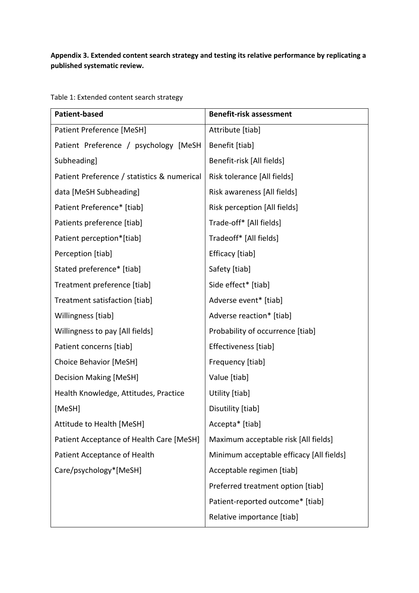## **Appendix 3. Extended content search strategy and testing its relative performance by replicating a published systematic review.**

**Patient-based Benefit-risk assessment** Patient Preference [MeSH] Patient Preference / psychology [MeSH Subheading] Patient Preference / statistics & numerical data [MeSH Subheading] Patient Preference\* [tiab] Patients preference [tiab] Patient perception\*[tiab] Perception [tiab] Stated preference\* [tiab] Treatment preference [tiab] Treatment satisfaction [tiab] Willingness [tiab] Willingness to pay [All fields] Patient concerns [tiab] Choice Behavior [MeSH] Decision Making [MeSH] Health Knowledge, Attitudes, Practice [MeSH] Attitude to Health [MeSH] Patient Acceptance of Health Care [MeSH] Patient Acceptance of Health Care/psychology\*[MeSH] Attribute [tiab] Benefit [tiab] Benefit-risk [All fields] Risk tolerance [All fields] Risk awareness [All fields] Risk perception [All fields] Trade-off\* [All fields] Tradeoff\* [All fields] Efficacy [tiab] Safety [tiab] Side effect\* [tiab] Adverse event\* [tiab] Adverse reaction\* [tiab] Probability of occurrence [tiab] Effectiveness [tiab] Frequency [tiab] Value [tiab] Utility [tiab] Disutility [tiab] Accepta\* [tiab] Maximum acceptable risk [All fields] Minimum acceptable efficacy [All fields] Acceptable regimen [tiab] Preferred treatment option [tiab] Patient-reported outcome\* [tiab] Relative importance [tiab]

Table 1: Extended content search strategy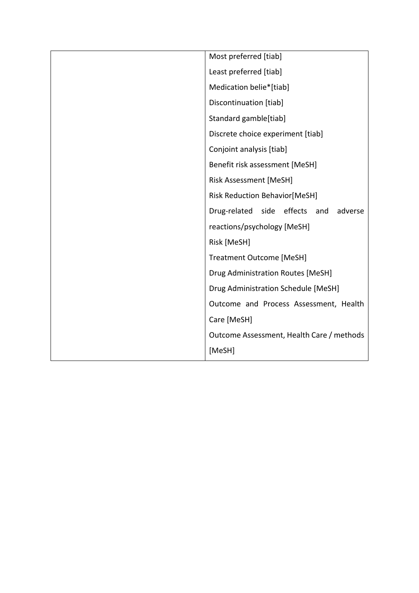| Most preferred [tiab]                     |  |  |  |
|-------------------------------------------|--|--|--|
| Least preferred [tiab]                    |  |  |  |
| Medication belie*[tiab]                   |  |  |  |
| Discontinuation [tiab]                    |  |  |  |
| Standard gamble[tiab]                     |  |  |  |
| Discrete choice experiment [tiab]         |  |  |  |
| Conjoint analysis [tiab]                  |  |  |  |
| Benefit risk assessment [MeSH]            |  |  |  |
| Risk Assessment [MeSH]                    |  |  |  |
| <b>Risk Reduction Behavior[MeSH]</b>      |  |  |  |
| Drug-related side effects and<br>adverse  |  |  |  |
| reactions/psychology [MeSH]               |  |  |  |
| Risk [MeSH]                               |  |  |  |
| <b>Treatment Outcome [MeSH]</b>           |  |  |  |
| Drug Administration Routes [MeSH]         |  |  |  |
| Drug Administration Schedule [MeSH]       |  |  |  |
| Outcome and Process Assessment, Health    |  |  |  |
| Care [MeSH]                               |  |  |  |
| Outcome Assessment, Health Care / methods |  |  |  |
| [MeSH]                                    |  |  |  |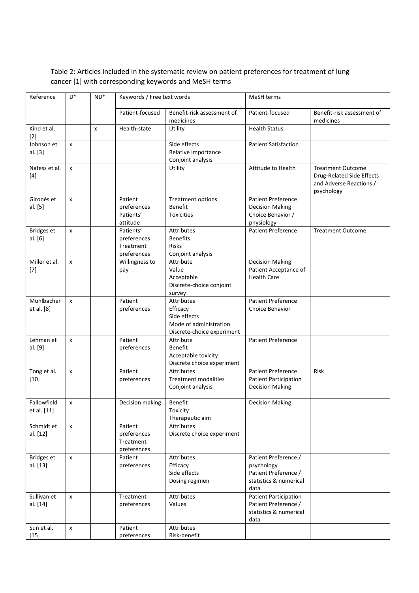## Table 2: Articles included in the systematic review on patient preferences for treatment of lung cancer [1] with corresponding keywords and MeSH terms

| Reference                     | $D^*$              | $ND^*$       | Keywords / Free text words                           |                                                                                                       | MeSH terms                                                                                   |                                                                                                |  |
|-------------------------------|--------------------|--------------|------------------------------------------------------|-------------------------------------------------------------------------------------------------------|----------------------------------------------------------------------------------------------|------------------------------------------------------------------------------------------------|--|
|                               |                    |              | Patient-focused                                      | Benefit-risk assessment of<br>medicines                                                               | Patient-focused                                                                              | Benefit-risk assessment of<br>medicines                                                        |  |
| Kind et al.<br>[2]            |                    | $\mathsf{x}$ | Health-state                                         | Utility                                                                                               | <b>Health Status</b>                                                                         |                                                                                                |  |
| Johnson et<br>al. [3]         | $\mathsf{x}$       |              |                                                      | Side effects<br>Relative importance<br>Conjoint analysis                                              | <b>Patient Satisfaction</b>                                                                  |                                                                                                |  |
| Nafess et al.<br>$[4]$        | $\pmb{\times}$     |              |                                                      | Utility                                                                                               | Attitude to Health                                                                           | <b>Treatment Outcome</b><br>Drug-Related Side Effects<br>and Adverse Reactions /<br>psychology |  |
| Gironés et<br>al. [5]         | $\mathsf{x}$       |              | Patient<br>preferences<br>Patients'<br>attitude      | <b>Treatment options</b><br><b>Benefit</b><br><b>Toxicities</b>                                       | <b>Patient Preference</b><br><b>Decision Making</b><br>Choice Behavior /<br>physiology       |                                                                                                |  |
| <b>Bridges</b> et<br>al. [6]  | x                  |              | Patients'<br>preferences<br>Treatment<br>preferences | <b>Attributes</b><br><b>Benefits</b><br><b>Risks</b><br>Conjoint analysis                             | <b>Patient Preference</b>                                                                    | <b>Treatment Outcome</b>                                                                       |  |
| Miller et al.<br>$[7]$        | x                  |              | Willingness to<br>pay                                | Attribute<br>Value<br>Acceptable<br>Discrete-choice conjoint<br>survey                                | <b>Decision Making</b><br>Patient Acceptance of<br><b>Health Care</b>                        |                                                                                                |  |
| Mühlbacher<br>et al. [8]      | $\pmb{\times}$     |              | Patient<br>preferences                               | <b>Attributes</b><br>Efficacy<br>Side effects<br>Mode of administration<br>Discrete-choice experiment | <b>Patient Preference</b><br>Choice Behavior                                                 |                                                                                                |  |
| Lehman et<br>al. [9]          | x                  |              | Patient<br>preferences                               | Attribute<br><b>Benefit</b><br>Acceptable toxicity<br>Discrete choice experiment                      | <b>Patient Preference</b>                                                                    |                                                                                                |  |
| Tong et al.<br>$[10]$         | $\pmb{\times}$     |              | Patient<br>preferences                               | <b>Attributes</b><br><b>Treatment modalities</b><br>Conjoint analysis                                 | Patient Preference<br><b>Patient Participation</b><br><b>Decision Making</b>                 | <b>Risk</b>                                                                                    |  |
| Fallowfield<br>et al. [11]    | x                  |              | Decision making                                      | Benefit<br>Toxicity<br>Therapeutic aim                                                                | <b>Decision Making</b>                                                                       |                                                                                                |  |
| Schmidt et<br>al. [12]        | $\mathsf{x}$       |              | Patient<br>preferences<br>Treatment<br>preferences   | Attributes<br>Discrete choice experiment                                                              |                                                                                              |                                                                                                |  |
| <b>Bridges et</b><br>al. [13] | X                  |              | Patient<br>preferences                               | Attributes<br>Efficacy<br>Side effects<br>Dosing regimen                                              | Patient Preference /<br>psychology<br>Patient Preference /<br>statistics & numerical<br>data |                                                                                                |  |
| Sullivan et<br>al. [14]       | x                  |              | Treatment<br>preferences                             | Attributes<br>Values                                                                                  | <b>Patient Participation</b><br>Patient Preference /<br>statistics & numerical<br>data       |                                                                                                |  |
| Sun et al.<br>$[15]$          | $\pmb{\mathsf{x}}$ |              | Patient<br>preferences                               | Attributes<br>Risk-benefit                                                                            |                                                                                              |                                                                                                |  |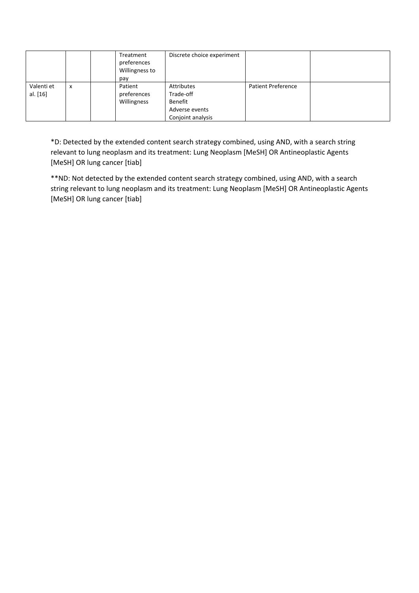|            |   | Treatment<br>preferences<br>Willingness to | Discrete choice experiment |                           |  |
|------------|---|--------------------------------------------|----------------------------|---------------------------|--|
|            |   | pay                                        |                            |                           |  |
| Valenti et | X | Patient                                    | Attributes                 | <b>Patient Preference</b> |  |
| al. [16]   |   | preferences                                | Trade-off                  |                           |  |
|            |   | Willingness                                | Benefit                    |                           |  |
|            |   |                                            | Adverse events             |                           |  |
|            |   |                                            | Conjoint analysis          |                           |  |

\*D: Detected by the extended content search strategy combined, using AND, with a search string relevant to lung neoplasm and its treatment: Lung Neoplasm [MeSH] OR Antineoplastic Agents [MeSH] OR lung cancer [tiab]

\*\*ND: Not detected by the extended content search strategy combined, using AND, with a search string relevant to lung neoplasm and its treatment: Lung Neoplasm [MeSH] OR Antineoplastic Agents [MeSH] OR lung cancer [tiab]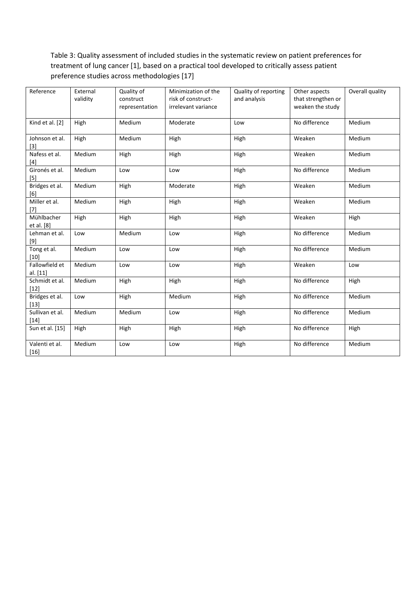## Table 3: Quality assessment of included studies in the systematic review on patient preferences for treatment of lung cancer [1], based on a practical tool developed to critically assess patient preference studies across methodologies [17]

| Reference                  | External<br>validity | Quality of<br>construct<br>representation | Minimization of the<br>risk of construct-<br>irrelevant variance | Quality of reporting<br>and analysis | Other aspects<br>that strengthen or<br>weaken the study | Overall quality |
|----------------------------|----------------------|-------------------------------------------|------------------------------------------------------------------|--------------------------------------|---------------------------------------------------------|-----------------|
| Kind et al. [2]            | High                 | Medium                                    | Moderate                                                         | Low                                  | No difference                                           | Medium          |
| Johnson et al.<br>$[3]$    | High                 | Medium                                    | High                                                             | High                                 | Weaken                                                  | Medium          |
| Nafess et al.<br>$[4]$     | Medium               | High                                      | High                                                             | High                                 | Weaken                                                  | Medium          |
| Gironés et al.<br>$[5]$    | Medium               | Low                                       | Low                                                              | High                                 | No difference                                           | Medium          |
| Bridges et al.<br>[6]      | Medium               | High                                      | Moderate                                                         | High                                 | Weaken                                                  | Medium          |
| Miller et al.<br>$[7]$     | Medium               | High                                      | High                                                             | High                                 | Weaken                                                  | Medium          |
| Mühlbacher<br>et al. [8]   | High                 | High                                      | High                                                             | High                                 | Weaken                                                  | High            |
| Lehman et al.<br>$[9]$     | Low                  | Medium                                    | Low                                                              | High                                 | No difference                                           | Medium          |
| Tong et al.<br>[10]        | Medium               | Low                                       | Low                                                              | High                                 | No difference                                           | Medium          |
| Fallowfield et<br>al. [11] | Medium               | Low                                       | Low                                                              | High                                 | Weaken                                                  | Low             |
| Schmidt et al.<br>$[12]$   | Medium               | High                                      | High                                                             | High                                 | No difference                                           | High            |
| Bridges et al.<br>$[13]$   | Low                  | High                                      | Medium                                                           | High                                 | No difference                                           | Medium          |
| Sullivan et al.<br>$[14]$  | Medium               | Medium                                    | Low                                                              | High                                 | No difference                                           | Medium          |
| Sun et al. [15]            | High                 | High                                      | High                                                             | High                                 | No difference                                           | High            |
| Valenti et al.<br>$[16]$   | Medium               | Low                                       | Low                                                              | High                                 | No difference                                           | Medium          |